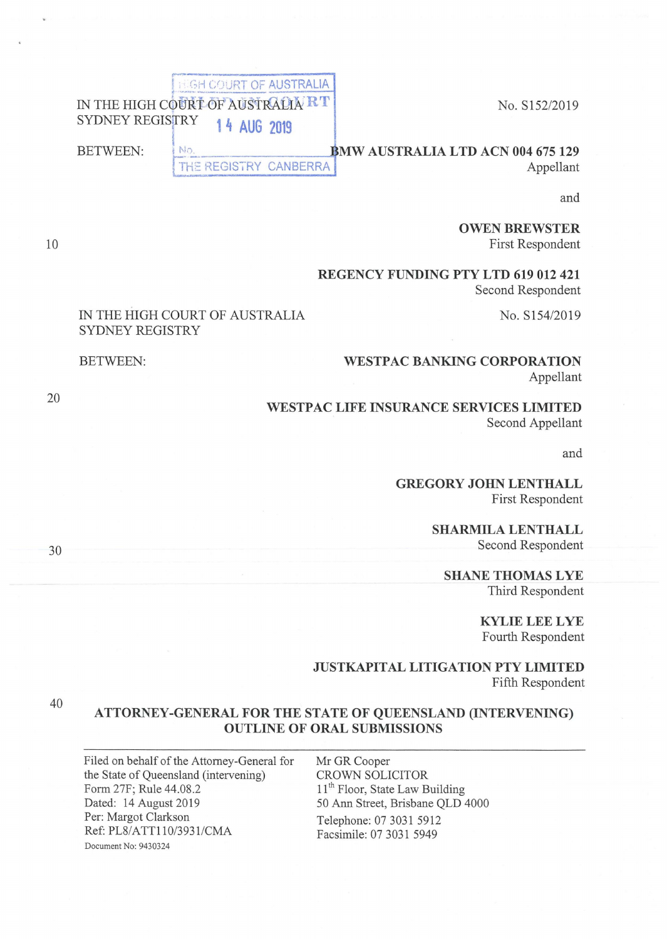**EGH COURT OF AUSTRALIA** IN THE HIGH COURT OF AUSTRALIA RT NO. S152/2019 14 AUG 2019

IN THE HIGH COURT OF AUSTRALIA

SYDNEY REGISTRY

BETWEEN:

**BETWEEN: 1 No. <b>BMW AUSTRALIA LTD ACN 004 675 129** 

No THE REGISTRY CANBERRA **Appellant** 

**rr------1' ... \_\_\_\_\_\_ \_** 

and

**OWEN BREWSTER**  First Respondent

**REGENCY FUNDING PTY LTD 619 012 421**  Second Respondent

No. S154/2019

## **WESTPAC BANKING CORPORATION**  Appellant

**WESTPAC LIFE INSURANCE SERVICES LIMITED**  Second Appellant

and

**GREGORYJOHNLENTHALL**  First Respondent

> **SHARMILA LENTHALL**  Second Respondent

**SHANE THOMAS LYE**  Third Respondent

> **KYLIE LEE LYE**  Fourth Respondent

**JUSTKAPITAL LITIGATION PTY LIMITED**  Fifth Respondent

## **ATTORNEY-GENERAL FOR THE STATE OF QUEENSLAND (INTERVENING) OUTLINE OF ORAL SUBMISSIONS**

Filed on behalf of the Attorney-General for the State of Queensland (intervening) Form 27F; Rule 44.08 .2 Dated: 14 August 2019 Per: Margot Clarkson Ref: PL8/ATT110/3931/CMA Document No: 9430324

Mr GR Cooper CROWN SOLICITOR 11<sup>th</sup> Floor, State Law Building 50 Ann Street, Brisbane QLD 4000 Telephone: 07 3031 5912 Facsimile: 07 3031 5949

20

30

40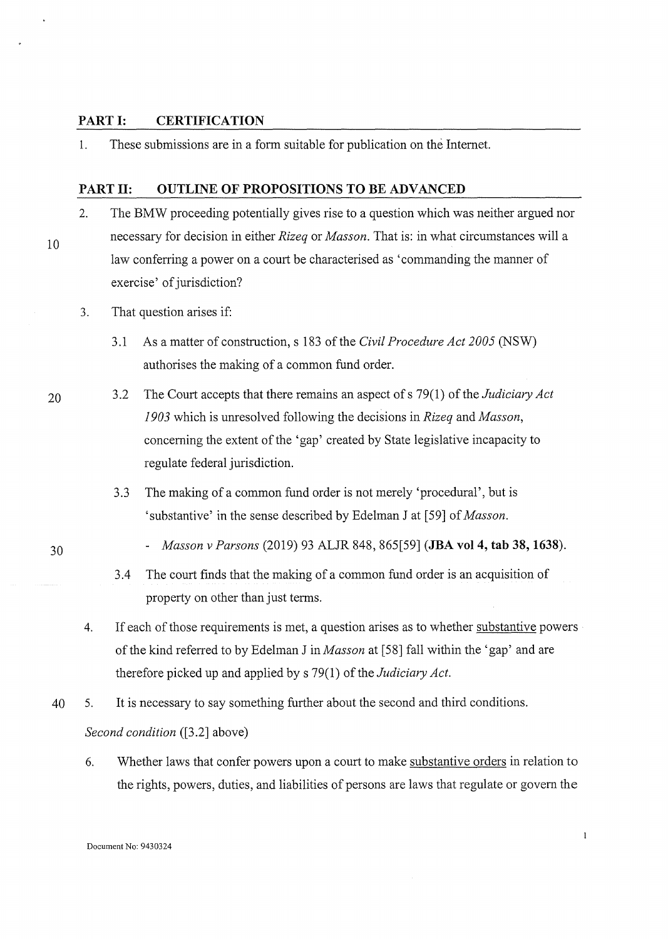## **PART I: CERTIFICATION**

1. These submissions are in a form suitable for publication on the Internet.

## **PART II: OUTLINE OF PROPOSITIONS TO BE ADVANCED**

- 2. The BMW proceeding potentially gives rise to a question which was neither argued nor necessary for decision in either *Rizeq* or *Masson.* That is: in what circumstances will a law conferring a power on a court be characterised as 'commanding the manner of exercise' of jurisdiction?
- 3. That question arises if:
	- 3 .1 As a matter of construction, s 183 of the *Civil Procedure Act 2005* (NSW) authorises the making of a common fund order.
- 20 3 .2 The Court accepts that there remains an aspect of s 79( 1) of the *Judiciary Act 1903* which is unresolved following the decisions in *Rizeq* and *Masson,*  concerning the extent of the 'gap' created by State legislative incapacity to regulate federal jurisdiction.
	- 3.3 The making of a common fund order is not merely 'procedural', but is 'substantive' in the sense described by Edelman J at [59] of *Masson.*
- 30

- *Masson v Parsons* (2019) 93 ALJR 848, 865[59] **(JBA vol 4, tab 38, 1638).**
- 3.4 The court finds that the making of a common fund order is an acquisition of property on other than just terms.
- 4. If each of those requirements is met, a question arises as to whether substantive powers of the kind referred to by Edelman Jin *Masson* at [58) fall within the 'gap' and are therefore picked up and applied by s 79(1) of the *Judiciary Act.*
- 40 5. It is necessary to say something further about the second and third conditions. *Second condition* ([3.2] above)
	- 6. Whether laws that confer powers upon a court to make substantive orders in relation to the rights, powers, duties, and liabilities of persons are laws that regulate or govern the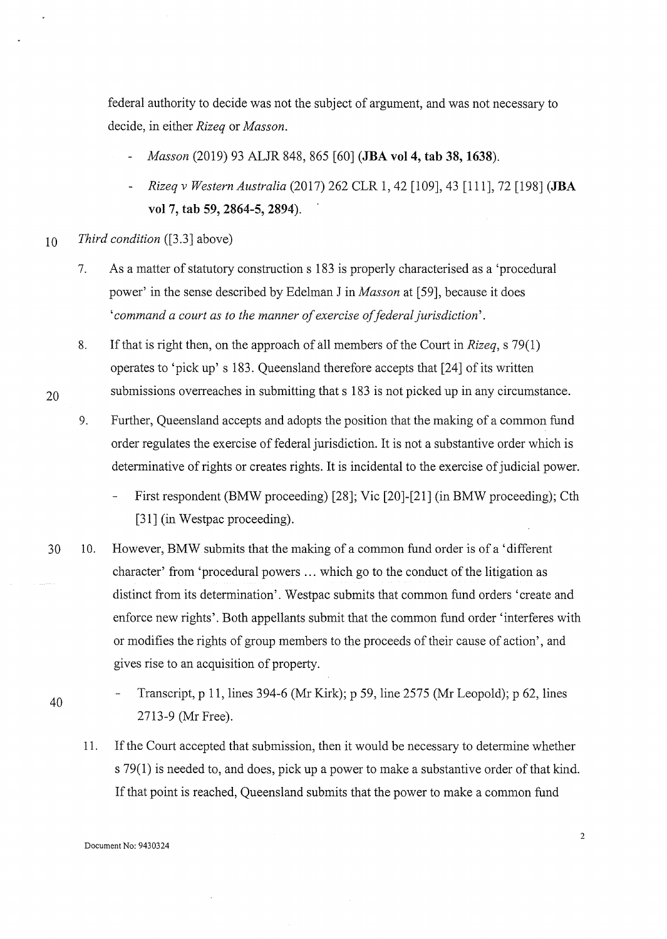federal authority to decide was not the subject of argument, and was not necessary to decide, in either *Rizeq* or *Masson.* 

- *Masson* (2019) 93 ALJR 848, 865 [60] **(IBA vol 4, tab 38, 1638).**
- *Rizeq v Western Australia* (2017) 262 CLR 1, 42 [109], 43 [111], 72 [198] **(JBA vol 7, tab 59, 2864-5, 2894).**
- 10 *Third condition* ([3.3] above)
	- 7. As a matter of statutory construction s 183 is properly characterised as a 'procedural power' in the sense described by Edelman Jin *Masson* at [59], because it does *'command a court as to the manner of exercise of federal jurisdiction'.*
	- 8. If that is right then, on the approach of all members of the Court in *Rizeq,* s 79(1) operates to 'pick up' s 183. Queensland therefore accepts that [24] of its written submissions overreaches in submitting that s 183 is not picked up in any circumstance.
	- 9. Further, Queensland accepts and adopts the position that the making of a common fund order regulates the exercise of federal jurisdiction. It is not a substantive order which is determinative of rights or creates rights. It is incidental to the exercise of judicial power.
		- First respondent (BMW proceeding) [28]; Vic [20]-[21] (in BMW proceeding); Cth [31] (in Westpac proceeding).
- 30 10. However, BMW submits that the making of a common fund order is of a 'different character' from 'procedural powers ... which go to the conduct of the litigation as distinct from its determination'. Westpac submits that common fund orders 'create and enforce new rights'. Both appellants submit that the common fund order 'interferes with or modifies the rights of group members to the proceeds of their cause of action', and gives rise to an acquisition of property.
- 40

20

Transcript, p 11, lines 394-6 (Mr Kirk); p 59, line 2575 (Mr Leopold); p 62, lines 2713-9 (Mr Free).

11. If the Court accepted that submission, then it would be necessary to determine whether s 79(1) is needed to, and does, pick up a power to make a substantive order of that kind. If that point is reached, Queensland submits that the power to make a common fund